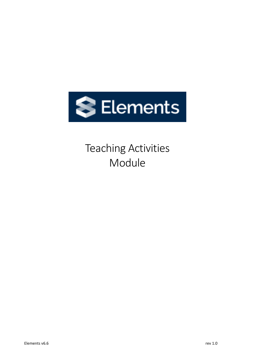

# Teaching Activities Module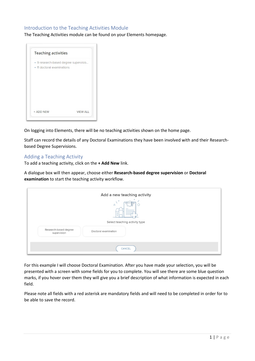### Introduction to the Teaching Activities Module

The Teaching Activities module can be found on your Elements homepage.



On logging into Elements, there will be no teaching activities shown on the home page.

Staff can record the details of any Doctoral Examinations they have been involved with and their Researchbased Degree Supervisions.

#### Adding a Teaching Activity

To add a teaching activity, click on the **+ Add New** link.

A dialogue box will then appear, choose either **Research-based degree supervision** or **Doctoral examination** to start the teaching activity workflow.

| Add a new teaching activity                                  |
|--------------------------------------------------------------|
| $\triangle$                                                  |
| Select teaching activity type                                |
| Research-based degree<br>Doctoral examination<br>supervision |
| CANCEL                                                       |

For this example I will choose Doctoral Examination. After you have made your selection, you will be presented with a screen with some fields for you to complete. You will see there are some blue question marks, if you hover over them they will give you a brief description of what information is expected in each field.

Please note all fields with a red asterisk are mandatory fields and will need to be completed in order for to be able to save the record.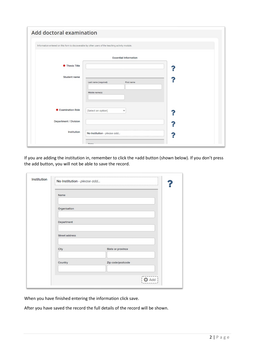|                           | Information entered on this form is discoverable by other users of the teaching activity module. |  |
|---------------------------|--------------------------------------------------------------------------------------------------|--|
|                           | <b>Essential Information</b>                                                                     |  |
| <b>*</b> Thesis Title     |                                                                                                  |  |
| <b>Student name</b>       |                                                                                                  |  |
|                           | Last name (required)<br>First name                                                               |  |
|                           | Middle name(s)                                                                                   |  |
| <b>*</b> Examination Role | [Select an option]<br>$\check{~}$                                                                |  |
| Department / Division     |                                                                                                  |  |
| Institution               |                                                                                                  |  |

If you are adding the institution in, remember to click the +add button (shown below). If you don't press the add button, you will not be able to save the record.

| Name                  |                   |  |  |
|-----------------------|-------------------|--|--|
| Organisation          |                   |  |  |
| Department            |                   |  |  |
| <b>Street address</b> |                   |  |  |
|                       |                   |  |  |
| <b>City</b>           | State or province |  |  |
| Country               | Zip code/postcode |  |  |

When you have finished entering the information click save.

After you have saved the record the full details of the record will be shown.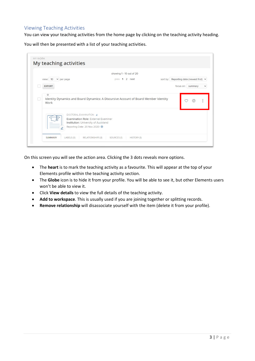## Viewing Teaching Activities

You can view your teaching activities from the home page by clicking on the teaching activity heading.

You will then be presented with a list of your teaching activities.



On this screen you will see the action area. Clicking the 3 dots reveals more options.

- The **heart** is to mark the teaching activity as a favourite. This will appear at the top of your Elements profile within the teaching activity section.
- The **Globe** icon is to hide it from your profile. You will be able to see it, but other Elements users won't be able to view it.
- Click **View details** to view the full details of the teaching activity.
- **Add to workspace**. This is usually used if you are joining together or splitting records.
- **Remove relationship** will disassociate yourself with the item (delete it from your profile).